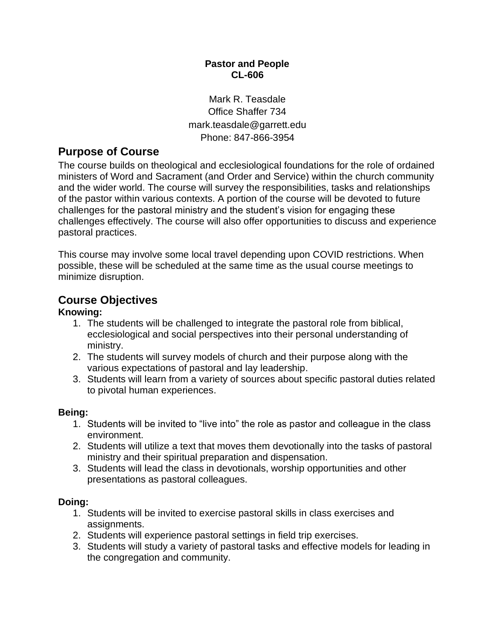#### **Pastor and People CL-606**

Mark R. Teasdale Office Shaffer 734 mark.teasdale@garrett.edu Phone: 847-866-3954

## **Purpose of Course**

The course builds on theological and ecclesiological foundations for the role of ordained ministers of Word and Sacrament (and Order and Service) within the church community and the wider world. The course will survey the responsibilities, tasks and relationships of the pastor within various contexts. A portion of the course will be devoted to future challenges for the pastoral ministry and the student's vision for engaging these challenges effectively. The course will also offer opportunities to discuss and experience pastoral practices.

This course may involve some local travel depending upon COVID restrictions. When possible, these will be scheduled at the same time as the usual course meetings to minimize disruption.

### **Course Objectives**

#### **Knowing:**

- 1. The students will be challenged to integrate the pastoral role from biblical, ecclesiological and social perspectives into their personal understanding of ministry.
- 2. The students will survey models of church and their purpose along with the various expectations of pastoral and lay leadership.
- 3. Students will learn from a variety of sources about specific pastoral duties related to pivotal human experiences.

#### **Being:**

- 1. Students will be invited to "live into" the role as pastor and colleague in the class environment.
- 2. Students will utilize a text that moves them devotionally into the tasks of pastoral ministry and their spiritual preparation and dispensation.
- 3. Students will lead the class in devotionals, worship opportunities and other presentations as pastoral colleagues.

#### **Doing:**

- 1. Students will be invited to exercise pastoral skills in class exercises and assignments.
- 2. Students will experience pastoral settings in field trip exercises.
- 3. Students will study a variety of pastoral tasks and effective models for leading in the congregation and community.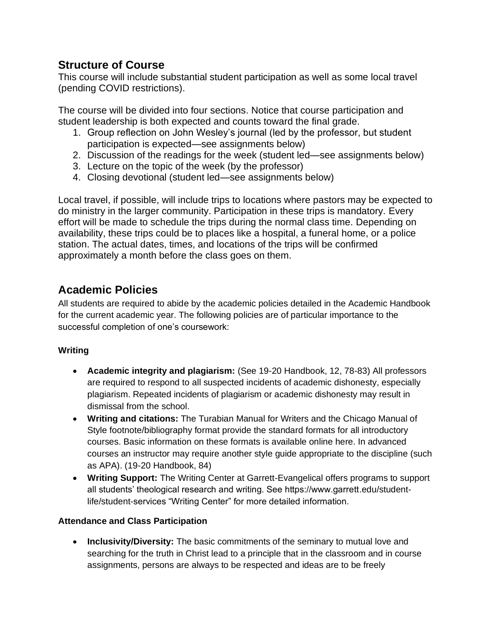## **Structure of Course**

This course will include substantial student participation as well as some local travel (pending COVID restrictions).

The course will be divided into four sections. Notice that course participation and student leadership is both expected and counts toward the final grade.

- 1. Group reflection on John Wesley's journal (led by the professor, but student participation is expected—see assignments below)
- 2. Discussion of the readings for the week (student led—see assignments below)
- 3. Lecture on the topic of the week (by the professor)
- 4. Closing devotional (student led—see assignments below)

Local travel, if possible, will include trips to locations where pastors may be expected to do ministry in the larger community. Participation in these trips is mandatory. Every effort will be made to schedule the trips during the normal class time. Depending on availability, these trips could be to places like a hospital, a funeral home, or a police station. The actual dates, times, and locations of the trips will be confirmed approximately a month before the class goes on them.

## **Academic Policies**

All students are required to abide by the academic policies detailed in the Academic Handbook for the current academic year. The following policies are of particular importance to the successful completion of one's coursework:

#### **Writing**

- **Academic integrity and plagiarism:** (See 19-20 Handbook, 12, 78-83) All professors are required to respond to all suspected incidents of academic dishonesty, especially plagiarism. Repeated incidents of plagiarism or academic dishonesty may result in dismissal from the school.
- **Writing and citations:** The Turabian Manual for Writers and the Chicago Manual of Style footnote/bibliography format provide the standard formats for all introductory courses. Basic information on these formats is available online here. In advanced courses an instructor may require another style guide appropriate to the discipline (such as APA). (19-20 Handbook, 84)
- **Writing Support:** The Writing Center at Garrett-Evangelical offers programs to support all students' theological research and writing. See https://www.garrett.edu/studentlife/student-services "Writing Center" for more detailed information.

#### **Attendance and Class Participation**

• **Inclusivity/Diversity:** The basic commitments of the seminary to mutual love and searching for the truth in Christ lead to a principle that in the classroom and in course assignments, persons are always to be respected and ideas are to be freely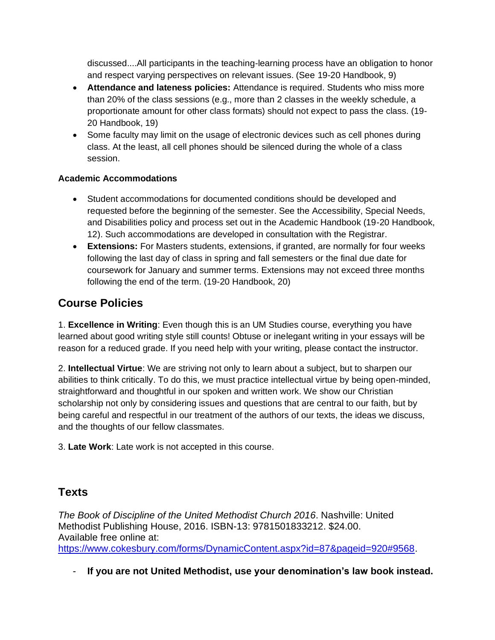discussed....All participants in the teaching-learning process have an obligation to honor and respect varying perspectives on relevant issues. (See 19-20 Handbook, 9)

- **Attendance and lateness policies:** Attendance is required. Students who miss more than 20% of the class sessions (e.g., more than 2 classes in the weekly schedule, a proportionate amount for other class formats) should not expect to pass the class. (19- 20 Handbook, 19)
- Some faculty may limit on the usage of electronic devices such as cell phones during class. At the least, all cell phones should be silenced during the whole of a class session.

#### **Academic Accommodations**

- Student accommodations for documented conditions should be developed and requested before the beginning of the semester. See the Accessibility, Special Needs, and Disabilities policy and process set out in the Academic Handbook (19-20 Handbook, 12). Such accommodations are developed in consultation with the Registrar.
- **Extensions:** For Masters students, extensions, if granted, are normally for four weeks following the last day of class in spring and fall semesters or the final due date for coursework for January and summer terms. Extensions may not exceed three months following the end of the term. (19-20 Handbook, 20)

# **Course Policies**

1. **Excellence in Writing**: Even though this is an UM Studies course, everything you have learned about good writing style still counts! Obtuse or inelegant writing in your essays will be reason for a reduced grade. If you need help with your writing, please contact the instructor.

2. **Intellectual Virtue**: We are striving not only to learn about a subject, but to sharpen our abilities to think critically. To do this, we must practice intellectual virtue by being open-minded, straightforward and thoughtful in our spoken and written work. We show our Christian scholarship not only by considering issues and questions that are central to our faith, but by being careful and respectful in our treatment of the authors of our texts, the ideas we discuss, and the thoughts of our fellow classmates.

3. **Late Work**: Late work is not accepted in this course.

## **Texts**

*The Book of Discipline of the United Methodist Church 2016*. Nashville: United Methodist Publishing House, 2016. ISBN-13: 9781501833212. \$24.00. Available free online at:

[https://www.cokesbury.com/forms/DynamicContent.aspx?id=87&pageid=920#9568.](https://www.cokesbury.com/forms/DynamicContent.aspx?id=87&pageid=920#9568)

- **If you are not United Methodist, use your denomination's law book instead.**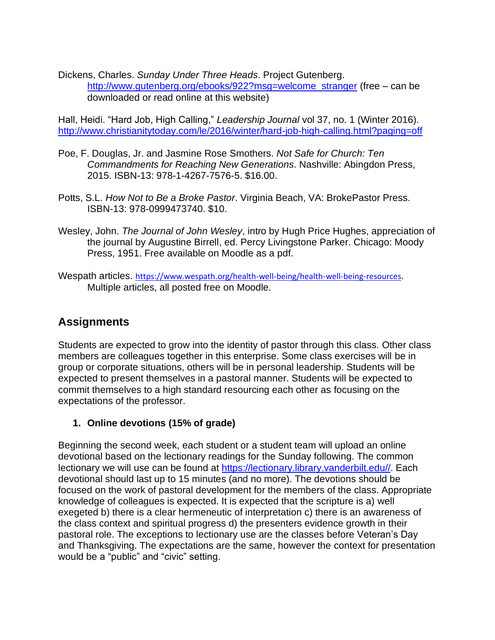Dickens, Charles. *Sunday Under Three Heads*. Project Gutenberg. [http://www.gutenberg.org/ebooks/922?msg=welcome\\_stranger](http://www.gutenberg.org/ebooks/922?msg=welcome_stranger) (free – can be downloaded or read online at this website)

Hall, Heidi. "Hard Job, High Calling," *Leadership Journal* vol 37, no. 1 (Winter 2016). <http://www.christianitytoday.com/le/2016/winter/hard-job-high-calling.html?paging=off>

- Poe, F. Douglas, Jr. and Jasmine Rose Smothers. *Not Safe for Church: Ten Commandments for Reaching New Generations*. Nashville: Abingdon Press, 2015. ISBN-13: 978-1-4267-7576-5. \$16.00.
- Potts, S.L. *How Not to Be a Broke Pastor*. Virginia Beach, VA: BrokePastor Press. ISBN-13: 978-0999473740. \$10.
- Wesley, John. *The Journal of John Wesley*, intro by Hugh Price Hughes, appreciation of the journal by Augustine Birrell, ed. Percy Livingstone Parker. Chicago: Moody Press, 1951. Free available on Moodle as a pdf.
- Wespath articles. <https://www.wespath.org/health-well-being/health-well-being-resources>. Multiple articles, all posted free on Moodle.

## **Assignments**

Students are expected to grow into the identity of pastor through this class. Other class members are colleagues together in this enterprise. Some class exercises will be in group or corporate situations, others will be in personal leadership. Students will be expected to present themselves in a pastoral manner. Students will be expected to commit themselves to a high standard resourcing each other as focusing on the expectations of the professor.

#### **1. Online devotions (15% of grade)**

Beginning the second week, each student or a student team will upload an online devotional based on the lectionary readings for the Sunday following. The common lectionary we will use can be found at [https://lectionary.library.vanderbilt.edu//.](https://lectionary.library.vanderbilt.edu/) Each devotional should last up to 15 minutes (and no more). The devotions should be focused on the work of pastoral development for the members of the class. Appropriate knowledge of colleagues is expected. It is expected that the scripture is a) well exegeted b) there is a clear hermeneutic of interpretation c) there is an awareness of the class context and spiritual progress d) the presenters evidence growth in their pastoral role. The exceptions to lectionary use are the classes before Veteran's Day and Thanksgiving. The expectations are the same, however the context for presentation would be a "public" and "civic" setting.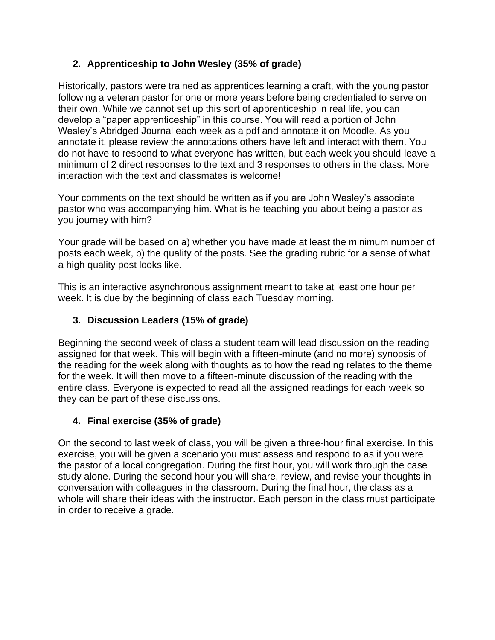### **2. Apprenticeship to John Wesley (35% of grade)**

Historically, pastors were trained as apprentices learning a craft, with the young pastor following a veteran pastor for one or more years before being credentialed to serve on their own. While we cannot set up this sort of apprenticeship in real life, you can develop a "paper apprenticeship" in this course. You will read a portion of John Wesley's Abridged Journal each week as a pdf and annotate it on Moodle. As you annotate it, please review the annotations others have left and interact with them. You do not have to respond to what everyone has written, but each week you should leave a minimum of 2 direct responses to the text and 3 responses to others in the class. More interaction with the text and classmates is welcome!

Your comments on the text should be written as if you are John Wesley's associate pastor who was accompanying him. What is he teaching you about being a pastor as you journey with him?

Your grade will be based on a) whether you have made at least the minimum number of posts each week, b) the quality of the posts. See the grading rubric for a sense of what a high quality post looks like.

This is an interactive asynchronous assignment meant to take at least one hour per week. It is due by the beginning of class each Tuesday morning.

### **3. Discussion Leaders (15% of grade)**

Beginning the second week of class a student team will lead discussion on the reading assigned for that week. This will begin with a fifteen-minute (and no more) synopsis of the reading for the week along with thoughts as to how the reading relates to the theme for the week. It will then move to a fifteen-minute discussion of the reading with the entire class. Everyone is expected to read all the assigned readings for each week so they can be part of these discussions.

#### **4. Final exercise (35% of grade)**

On the second to last week of class, you will be given a three-hour final exercise. In this exercise, you will be given a scenario you must assess and respond to as if you were the pastor of a local congregation. During the first hour, you will work through the case study alone. During the second hour you will share, review, and revise your thoughts in conversation with colleagues in the classroom. During the final hour, the class as a whole will share their ideas with the instructor. Each person in the class must participate in order to receive a grade.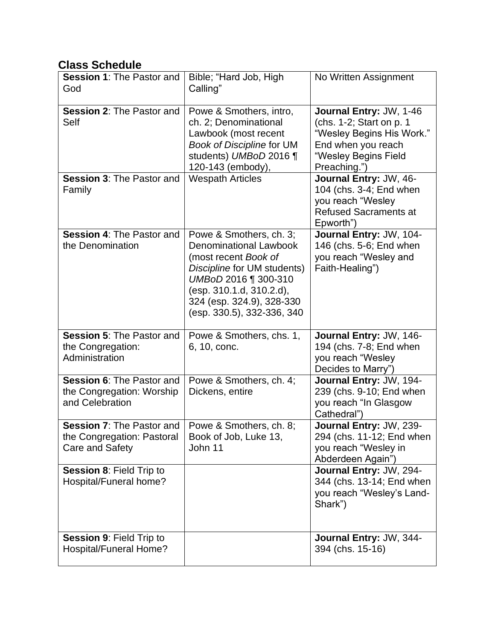## **Class Schedule**

| <b>Session 1: The Pastor and</b><br>God                                           | Bible; "Hard Job, High<br>Calling"                                                                                                                                                                                             | No Written Assignment                                                                                                                          |
|-----------------------------------------------------------------------------------|--------------------------------------------------------------------------------------------------------------------------------------------------------------------------------------------------------------------------------|------------------------------------------------------------------------------------------------------------------------------------------------|
| <b>Session 2: The Pastor and</b><br>Self                                          | Powe & Smothers, intro,<br>ch. 2; Denominational<br>Lawbook (most recent<br><b>Book of Discipline for UM</b><br>students) UMBoD 2016 ¶<br>120-143 (embody),                                                                    | Journal Entry: JW, 1-46<br>(chs. 1-2; Start on p. 1<br>"Wesley Begins His Work."<br>End when you reach<br>"Wesley Begins Field<br>Preaching.") |
| Session 3: The Pastor and<br>Family                                               | <b>Wespath Articles</b>                                                                                                                                                                                                        | Journal Entry: JW, 46-<br>104 (chs. 3-4; End when<br>you reach "Wesley<br><b>Refused Sacraments at</b><br>Epworth")                            |
| <b>Session 4: The Pastor and</b><br>the Denomination                              | Powe & Smothers, ch. 3;<br><b>Denominational Lawbook</b><br>(most recent Book of<br>Discipline for UM students)<br>UMBoD 2016 1 300-310<br>(esp. 310.1.d, 310.2.d),<br>324 (esp. 324.9), 328-330<br>(esp. 330.5), 332-336, 340 | Journal Entry: JW, 104-<br>146 (chs. 5-6; End when<br>you reach "Wesley and<br>Faith-Healing")                                                 |
| <b>Session 5: The Pastor and</b><br>the Congregation:<br>Administration           | Powe & Smothers, chs. 1,<br>6, 10, conc.                                                                                                                                                                                       | Journal Entry: JW, 146-<br>194 (chs. 7-8; End when<br>you reach "Wesley<br>Decides to Marry")                                                  |
| <b>Session 6: The Pastor and</b><br>the Congregation: Worship<br>and Celebration  | Powe & Smothers, ch. 4;<br>Dickens, entire                                                                                                                                                                                     | Journal Entry: JW, 194-<br>239 (chs. 9-10; End when<br>you reach "In Glasgow<br>Cathedral")                                                    |
| <b>Session 7: The Pastor and</b><br>the Congregation: Pastoral<br>Care and Safety | Powe & Smothers, ch. 8;<br>Book of Job, Luke 13,<br>John 11                                                                                                                                                                    | Journal Entry: JW, 239-<br>294 (chs. 11-12; End when<br>you reach "Wesley in<br>Abderdeen Again")                                              |
| Session 8: Field Trip to<br>Hospital/Funeral home?                                |                                                                                                                                                                                                                                | Journal Entry: JW, 294-<br>344 (chs. 13-14; End when<br>you reach "Wesley's Land-<br>Shark")                                                   |
| <b>Session 9: Field Trip to</b><br>Hospital/Funeral Home?                         |                                                                                                                                                                                                                                | Journal Entry: JW, 344-<br>394 (chs. 15-16)                                                                                                    |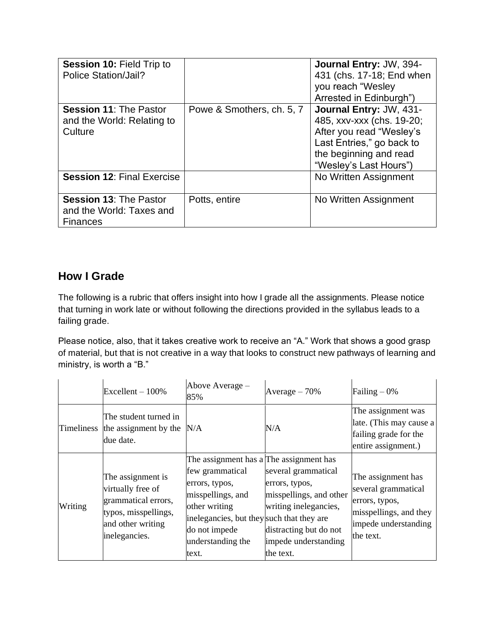| <b>Session 10: Field Trip to</b><br>Police Station/Jail?                     |                           | Journal Entry: JW, 394-<br>431 (chs. 17-18; End when<br>you reach "Wesley<br>Arrested in Edinburgh")                                                              |
|------------------------------------------------------------------------------|---------------------------|-------------------------------------------------------------------------------------------------------------------------------------------------------------------|
| <b>Session 11: The Pastor</b><br>and the World: Relating to<br>Culture       | Powe & Smothers, ch. 5, 7 | Journal Entry: JW, 431-<br>485, xxv-xxx (chs. 19-20;<br>After you read "Wesley's<br>Last Entries," go back to<br>the beginning and read<br>"Wesley's Last Hours") |
| <b>Session 12: Final Exercise</b>                                            |                           | No Written Assignment                                                                                                                                             |
| <b>Session 13: The Pastor</b><br>and the World: Taxes and<br><b>Finances</b> | Potts, entire             | No Written Assignment                                                                                                                                             |

# **How I Grade**

The following is a rubric that offers insight into how I grade all the assignments. Please notice that turning in work late or without following the directions provided in the syllabus leads to a failing grade.

Please notice, also, that it takes creative work to receive an "A." Work that shows a good grasp of material, but that is not creative in a way that looks to construct new pathways of learning and ministry, is worth a "B."

|                   | $Excellent - 100\%$                                                                                                         | Above Average -<br>85%                                                                                                                                                                                         | Average $-70%$                                                                                                                                           | Failing $-0\%$                                                                                                             |
|-------------------|-----------------------------------------------------------------------------------------------------------------------------|----------------------------------------------------------------------------------------------------------------------------------------------------------------------------------------------------------------|----------------------------------------------------------------------------------------------------------------------------------------------------------|----------------------------------------------------------------------------------------------------------------------------|
| <b>Timeliness</b> | The student turned in<br>the assignment by the<br>due date.                                                                 | N/A                                                                                                                                                                                                            | N/A                                                                                                                                                      | The assignment was<br>late. (This may cause a<br>failing grade for the<br>entire assignment.)                              |
| Writing           | The assignment is<br>virtually free of<br>grammatical errors,<br>typos, misspellings,<br>and other writing<br>inelegancies. | The assignment has a The assignment has<br>few grammatical<br>errors, typos,<br>misspellings, and<br>other writing<br>inelegancies, but they such that they are<br>do not impede<br>understanding the<br>text. | several grammatical<br>errors, typos,<br>misspellings, and other<br>writing inelegancies,<br>distracting but do not<br>impede understanding<br>the text. | The assignment has<br>several grammatical<br>errors, typos,<br>misspellings, and they<br>impede understanding<br>the text. |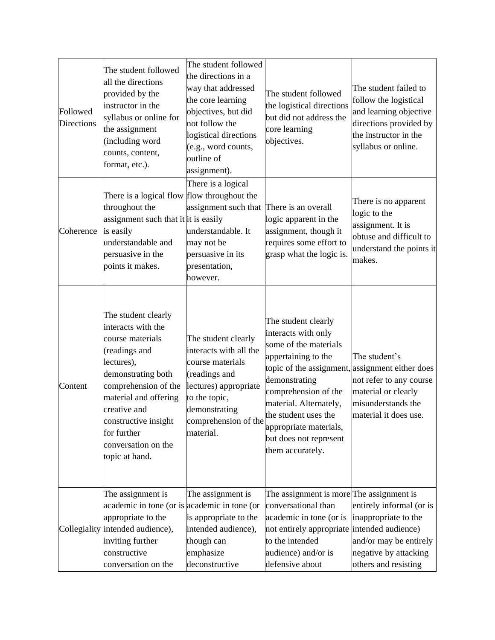| Followed<br><b>Directions</b> | The student followed<br>all the directions<br>provided by the<br>instructor in the<br>syllabus or online for<br>the assignment<br>(including word<br>counts, content,<br>format, etc.).                                                                             | The student followed<br>the directions in a<br>way that addressed<br>the core learning<br>objectives, but did<br>not follow the<br>logistical directions<br>(e.g., word counts,<br>outline of<br>assignment). | The student followed<br>the logistical directions<br>but did not address the<br>core learning<br>objectives.                                                                                                                                                                                                     | The student failed to<br>follow the logistical<br>and learning objective<br>directions provided by<br>the instructor in the<br>syllabus or online. |
|-------------------------------|---------------------------------------------------------------------------------------------------------------------------------------------------------------------------------------------------------------------------------------------------------------------|---------------------------------------------------------------------------------------------------------------------------------------------------------------------------------------------------------------|------------------------------------------------------------------------------------------------------------------------------------------------------------------------------------------------------------------------------------------------------------------------------------------------------------------|----------------------------------------------------------------------------------------------------------------------------------------------------|
| Coherence                     | There is a logical flow flow throughout the<br>throughout the<br>assignment such that it it is easily<br>is easily<br>understandable and<br>persuasive in the<br>points it makes.                                                                                   | There is a logical<br>assignment such that<br>understandable. It<br>may not be<br>persuasive in its<br>presentation,<br>however.                                                                              | There is an overall<br>logic apparent in the<br>assignment, though it<br>requires some effort to<br>grasp what the logic is.                                                                                                                                                                                     | There is no apparent<br>logic to the<br>assignment. It is<br>obtuse and difficult to<br>understand the points it<br>makes.                         |
| Content                       | The student clearly<br>interacts with the<br>course materials<br>(readings and<br>lectures),<br>demonstrating both<br>comprehension of the<br>material and offering<br>creative and<br>constructive insight<br>for further<br>conversation on the<br>topic at hand. | The student clearly<br>interacts with all the<br>course materials<br>(readings and<br>lectures) appropriate<br>to the topic,<br>demonstrating<br>comprehension of the<br>material.                            | The student clearly<br>interacts with only<br>some of the materials<br>appertaining to the<br>topic of the assignment, assignment either does<br>demonstrating<br>comprehension of the<br>material. Alternately,<br>the student uses the<br>appropriate materials,<br>but does not represent<br>them accurately. | The student's<br>not refer to any course<br>material or clearly<br>misunderstands the<br>material it does use.                                     |
|                               | The assignment is<br>academic in tone (or is academic in tone (or<br>appropriate to the<br>Collegiality intended audience),<br>inviting further<br>constructive<br>conversation on the                                                                              | The assignment is<br>is appropriate to the<br>intended audience),<br>though can<br>emphasize<br>deconstructive                                                                                                | The assignment is more The assignment is<br>conversational than<br>academic in tone (or is<br>not entirely appropriate intended audience)<br>to the intended<br>audience) and/or is<br>defensive about                                                                                                           | entirely informal (or is<br>inappropriate to the<br>and/or may be entirely<br>negative by attacking<br>others and resisting                        |